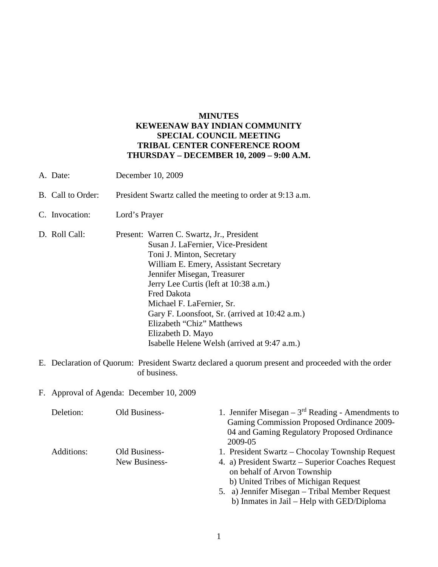## **MINUTES KEWEENAW BAY INDIAN COMMUNITY SPECIAL COUNCIL MEETING TRIBAL CENTER CONFERENCE ROOM THURSDAY – DECEMBER 10, 2009 – 9:00 A.M.**

- A. Date: December 10, 2009
- B. Call to Order: President Swartz called the meeting to order at 9:13 a.m.
- C. Invocation: Lord's Prayer
- D. Roll Call: Present: Warren C. Swartz, Jr., President Susan J. LaFernier, Vice-President Toni J. Minton, Secretary William E. Emery, Assistant Secretary Jennifer Misegan, Treasurer Jerry Lee Curtis (left at 10:38 a.m.) Fred Dakota Michael F. LaFernier, Sr. Gary F. Loonsfoot, Sr. (arrived at 10:42 a.m.) Elizabeth "Chiz" Matthews Elizabeth D. Mayo Isabelle Helene Welsh (arrived at 9:47 a.m.)
- E. Declaration of Quorum: President Swartz declared a quorum present and proceeded with the order of business.
- F. Approval of Agenda: December 10, 2009

| Deletion:  | Old Business- | 1. Jennifer Misegan – $3rd$ Reading - Amendments to<br>Gaming Commission Proposed Ordinance 2009- |
|------------|---------------|---------------------------------------------------------------------------------------------------|
|            |               | 04 and Gaming Regulatory Proposed Ordinance<br>2009-05                                            |
|            |               |                                                                                                   |
| Additions: | Old Business- | 1. President Swartz – Chocolay Township Request                                                   |
|            | New Business- | 4. a) President Swartz – Superior Coaches Request<br>on behalf of Arvon Township                  |
|            |               | b) United Tribes of Michigan Request                                                              |
|            |               | 5. a) Jennifer Misegan – Tribal Member Request                                                    |
|            |               | b) Inmates in Jail – Help with GED/Diploma                                                        |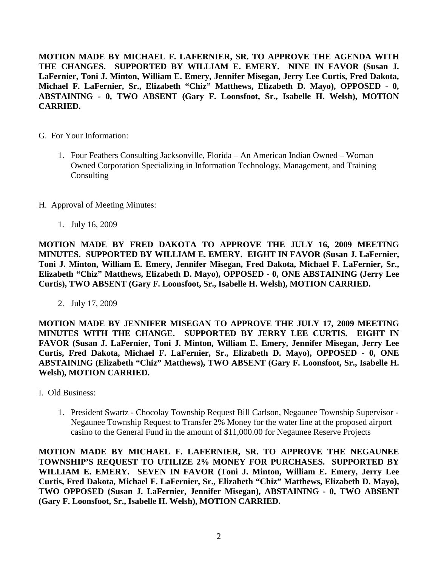**MOTION MADE BY MICHAEL F. LAFERNIER, SR. TO APPROVE THE AGENDA WITH THE CHANGES. SUPPORTED BY WILLIAM E. EMERY. NINE IN FAVOR (Susan J. LaFernier, Toni J. Minton, William E. Emery, Jennifer Misegan, Jerry Lee Curtis, Fred Dakota, Michael F. LaFernier, Sr., Elizabeth "Chiz" Matthews, Elizabeth D. Mayo), OPPOSED - 0, ABSTAINING - 0, TWO ABSENT (Gary F. Loonsfoot, Sr., Isabelle H. Welsh), MOTION CARRIED.**

- G. For Your Information:
	- 1. Four Feathers Consulting Jacksonville, Florida An American Indian Owned Woman Owned Corporation Specializing in Information Technology, Management, and Training **Consulting**
- H. Approval of Meeting Minutes:
	- 1. July 16, 2009

**MOTION MADE BY FRED DAKOTA TO APPROVE THE JULY 16, 2009 MEETING MINUTES. SUPPORTED BY WILLIAM E. EMERY. EIGHT IN FAVOR (Susan J. LaFernier, Toni J. Minton, William E. Emery, Jennifer Misegan, Fred Dakota, Michael F. LaFernier, Sr., Elizabeth "Chiz" Matthews, Elizabeth D. Mayo), OPPOSED - 0, ONE ABSTAINING (Jerry Lee Curtis), TWO ABSENT (Gary F. Loonsfoot, Sr., Isabelle H. Welsh), MOTION CARRIED.**

2. July 17, 2009

**MOTION MADE BY JENNIFER MISEGAN TO APPROVE THE JULY 17, 2009 MEETING MINUTES WITH THE CHANGE. SUPPORTED BY JERRY LEE CURTIS. EIGHT IN FAVOR (Susan J. LaFernier, Toni J. Minton, William E. Emery, Jennifer Misegan, Jerry Lee Curtis, Fred Dakota, Michael F. LaFernier, Sr., Elizabeth D. Mayo), OPPOSED - 0, ONE ABSTAINING (Elizabeth "Chiz" Matthews), TWO ABSENT (Gary F. Loonsfoot, Sr., Isabelle H. Welsh), MOTION CARRIED.**

- I. Old Business:
	- 1. President Swartz Chocolay Township Request Bill Carlson, Negaunee Township Supervisor Negaunee Township Request to Transfer 2% Money for the water line at the proposed airport casino to the General Fund in the amount of \$11,000.00 for Negaunee Reserve Projects

**MOTION MADE BY MICHAEL F. LAFERNIER, SR. TO APPROVE THE NEGAUNEE TOWNSHIP'S REQUEST TO UTILIZE 2% MONEY FOR PURCHASES. SUPPORTED BY WILLIAM E. EMERY. SEVEN IN FAVOR (Toni J. Minton, William E. Emery, Jerry Lee Curtis, Fred Dakota, Michael F. LaFernier, Sr., Elizabeth "Chiz" Matthews, Elizabeth D. Mayo), TWO OPPOSED (Susan J. LaFernier, Jennifer Misegan), ABSTAINING - 0, TWO ABSENT (Gary F. Loonsfoot, Sr., Isabelle H. Welsh), MOTION CARRIED.**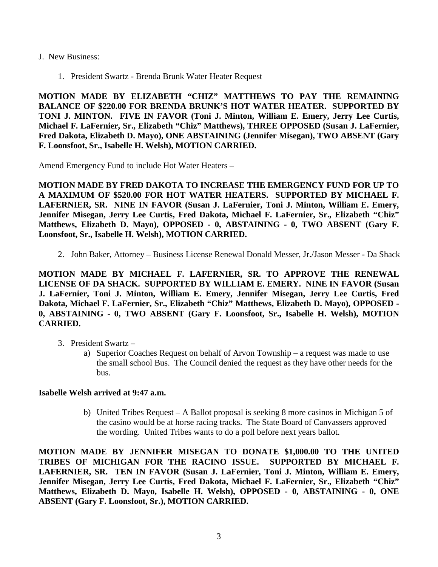- J. New Business:
	- 1. President Swartz Brenda Brunk Water Heater Request

**MOTION MADE BY ELIZABETH "CHIZ" MATTHEWS TO PAY THE REMAINING BALANCE OF \$220.00 FOR BRENDA BRUNK'S HOT WATER HEATER. SUPPORTED BY TONI J. MINTON. FIVE IN FAVOR (Toni J. Minton, William E. Emery, Jerry Lee Curtis, Michael F. LaFernier, Sr., Elizabeth "Chiz" Matthews), THREE OPPOSED (Susan J. LaFernier, Fred Dakota, Elizabeth D. Mayo), ONE ABSTAINING (Jennifer Misegan), TWO ABSENT (Gary F. Loonsfoot, Sr., Isabelle H. Welsh), MOTION CARRIED.**

Amend Emergency Fund to include Hot Water Heaters –

**MOTION MADE BY FRED DAKOTA TO INCREASE THE EMERGENCY FUND FOR UP TO A MAXIMUM OF \$520.00 FOR HOT WATER HEATERS. SUPPORTED BY MICHAEL F. LAFERNIER, SR. NINE IN FAVOR (Susan J. LaFernier, Toni J. Minton, William E. Emery, Jennifer Misegan, Jerry Lee Curtis, Fred Dakota, Michael F. LaFernier, Sr., Elizabeth "Chiz" Matthews, Elizabeth D. Mayo), OPPOSED - 0, ABSTAINING - 0, TWO ABSENT (Gary F. Loonsfoot, Sr., Isabelle H. Welsh), MOTION CARRIED.**

2. John Baker, Attorney – Business License Renewal Donald Messer, Jr./Jason Messer - Da Shack

**MOTION MADE BY MICHAEL F. LAFERNIER, SR. TO APPROVE THE RENEWAL LICENSE OF DA SHACK. SUPPORTED BY WILLIAM E. EMERY. NINE IN FAVOR (Susan J. LaFernier, Toni J. Minton, William E. Emery, Jennifer Misegan, Jerry Lee Curtis, Fred Dakota, Michael F. LaFernier, Sr., Elizabeth "Chiz" Matthews, Elizabeth D. Mayo), OPPOSED - 0, ABSTAINING - 0, TWO ABSENT (Gary F. Loonsfoot, Sr., Isabelle H. Welsh), MOTION CARRIED.**

- 3. President Swartz
	- a) Superior Coaches Request on behalf of Arvon Township a request was made to use the small school Bus. The Council denied the request as they have other needs for the bus.

## **Isabelle Welsh arrived at 9:47 a.m.**

b) United Tribes Request – A Ballot proposal is seeking 8 more casinos in Michigan 5 of the casino would be at horse racing tracks. The State Board of Canvassers approved the wording. United Tribes wants to do a poll before next years ballot.

**MOTION MADE BY JENNIFER MISEGAN TO DONATE \$1,000.00 TO THE UNITED TRIBES OF MICHIGAN FOR THE RACINO ISSUE. SUPPORTED BY MICHAEL F. LAFERNIER, SR. TEN IN FAVOR (Susan J. LaFernier, Toni J. Minton, William E. Emery, Jennifer Misegan, Jerry Lee Curtis, Fred Dakota, Michael F. LaFernier, Sr., Elizabeth "Chiz" Matthews, Elizabeth D. Mayo, Isabelle H. Welsh), OPPOSED - 0, ABSTAINING - 0, ONE ABSENT (Gary F. Loonsfoot, Sr.), MOTION CARRIED.**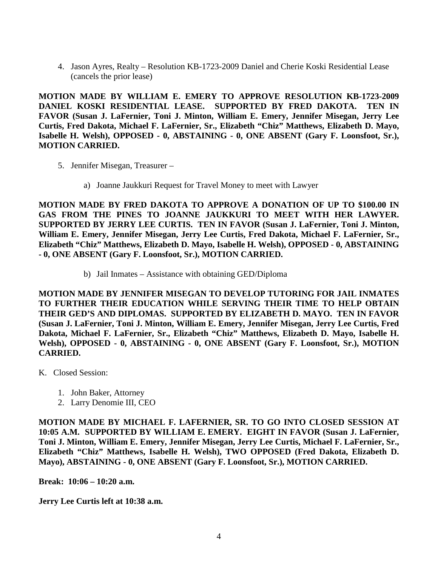4. Jason Ayres, Realty – Resolution KB-1723-2009 Daniel and Cherie Koski Residential Lease (cancels the prior lease)

**MOTION MADE BY WILLIAM E. EMERY TO APPROVE RESOLUTION KB-1723-2009 DANIEL KOSKI RESIDENTIAL LEASE. SUPPORTED BY FRED DAKOTA. TEN IN FAVOR (Susan J. LaFernier, Toni J. Minton, William E. Emery, Jennifer Misegan, Jerry Lee Curtis, Fred Dakota, Michael F. LaFernier, Sr., Elizabeth "Chiz" Matthews, Elizabeth D. Mayo, Isabelle H. Welsh), OPPOSED - 0, ABSTAINING - 0, ONE ABSENT (Gary F. Loonsfoot, Sr.), MOTION CARRIED.**

- 5. Jennifer Misegan, Treasurer
	- a) Joanne Jaukkuri Request for Travel Money to meet with Lawyer

**MOTION MADE BY FRED DAKOTA TO APPROVE A DONATION OF UP TO \$100.00 IN GAS FROM THE PINES TO JOANNE JAUKKURI TO MEET WITH HER LAWYER. SUPPORTED BY JERRY LEE CURTIS. TEN IN FAVOR (Susan J. LaFernier, Toni J. Minton, William E. Emery, Jennifer Misegan, Jerry Lee Curtis, Fred Dakota, Michael F. LaFernier, Sr., Elizabeth "Chiz" Matthews, Elizabeth D. Mayo, Isabelle H. Welsh), OPPOSED - 0, ABSTAINING - 0, ONE ABSENT (Gary F. Loonsfoot, Sr.), MOTION CARRIED.**

b) Jail Inmates – Assistance with obtaining GED/Diploma

**MOTION MADE BY JENNIFER MISEGAN TO DEVELOP TUTORING FOR JAIL INMATES TO FURTHER THEIR EDUCATION WHILE SERVING THEIR TIME TO HELP OBTAIN THEIR GED'S AND DIPLOMAS. SUPPORTED BY ELIZABETH D. MAYO. TEN IN FAVOR (Susan J. LaFernier, Toni J. Minton, William E. Emery, Jennifer Misegan, Jerry Lee Curtis, Fred Dakota, Michael F. LaFernier, Sr., Elizabeth "Chiz" Matthews, Elizabeth D. Mayo, Isabelle H. Welsh), OPPOSED - 0, ABSTAINING - 0, ONE ABSENT (Gary F. Loonsfoot, Sr.), MOTION CARRIED.**

- K. Closed Session:
	- 1. John Baker, Attorney
	- 2. Larry Denomie III, CEO

**MOTION MADE BY MICHAEL F. LAFERNIER, SR. TO GO INTO CLOSED SESSION AT 10:05 A.M. SUPPORTED BY WILLIAM E. EMERY. EIGHT IN FAVOR (Susan J. LaFernier, Toni J. Minton, William E. Emery, Jennifer Misegan, Jerry Lee Curtis, Michael F. LaFernier, Sr., Elizabeth "Chiz" Matthews, Isabelle H. Welsh), TWO OPPOSED (Fred Dakota, Elizabeth D. Mayo), ABSTAINING - 0, ONE ABSENT (Gary F. Loonsfoot, Sr.), MOTION CARRIED.**

**Break: 10:06 – 10:20 a.m.**

**Jerry Lee Curtis left at 10:38 a.m.**